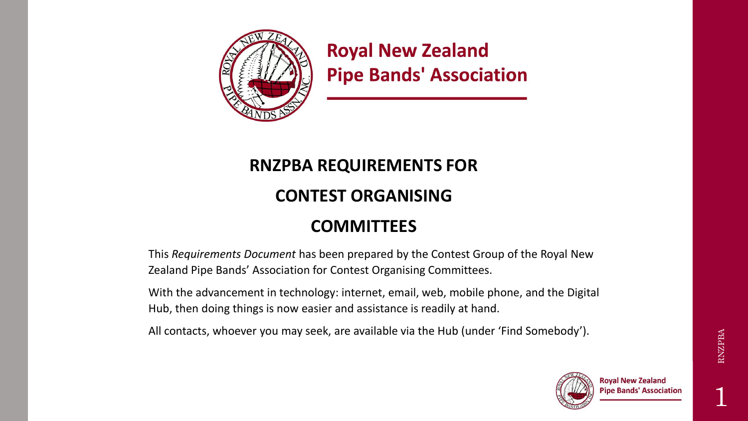

**Royal New Zealand Pipe Bands' Association** 

### **RNZPBA REQUIREMENTS FOR**

### **CONTEST ORGANISING**

### **COMMITTEES**

This *Requirements Document* has been prepared by the Contest Group of the Royal New Zealand Pipe Bands' Association for Contest Organising Committees.

With the advancement in technology: internet, email, web, mobile phone, and the Digital Hub, then doing things is now easier and assistance is readily at hand.

All contacts, whoever you may seek, are available via the Hub (under 'Find Somebody').

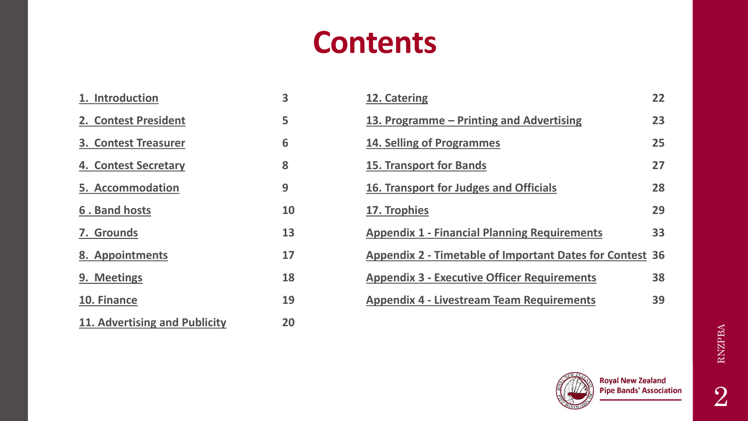### **Contents**

<span id="page-1-0"></span>

| 1. Introduction               | 3  | 12. Catering                                                    | 22 |
|-------------------------------|----|-----------------------------------------------------------------|----|
| 2. Contest President          | 5  | 13. Programme – Printing and Advertising                        | 23 |
| <b>3. Contest Treasurer</b>   | 6  | <b>14. Selling of Programmes</b>                                | 25 |
| 4. Contest Secretary          | 8  | <b>15. Transport for Bands</b>                                  | 27 |
| <b>5. Accommodation</b>       | 9  | 16. Transport for Judges and Officials                          | 28 |
| 6. Band hosts                 | 10 | 17. Trophies                                                    | 29 |
| 7. Grounds                    | 13 | <b>Appendix 1 - Financial Planning Requirements</b>             | 33 |
| 8. Appointments               | 17 | <b>Appendix 2 - Timetable of Important Dates for Contest 36</b> |    |
| 9. Meetings                   | 18 | <b>Appendix 3 - Executive Officer Requirements</b>              | 38 |
| 10. Finance                   | 19 | <b>Appendix 4 - Livestream Team Requirements</b>                | 39 |
| 11. Advertising and Publicity | 20 |                                                                 |    |

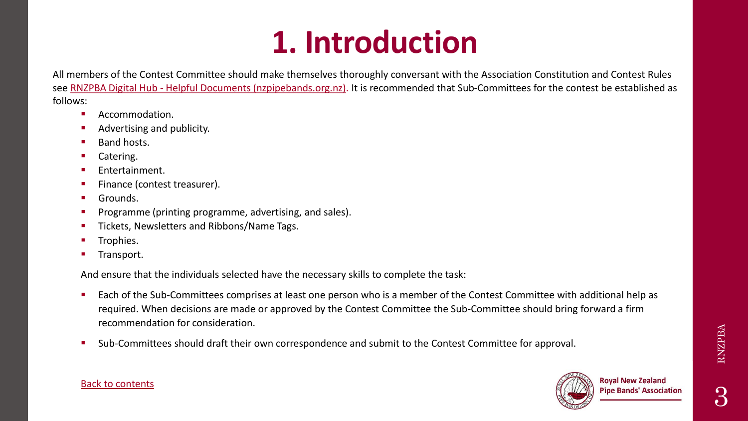# **1. Introduction**

<span id="page-2-0"></span>All members of the Contest Committee should make themselves thoroughly conversant with the Association Constitution and Contest Rules see RNZPBA Digital Hub - [Helpful Documents \(nzpipebands.org.nz\)](https://digitalhub.nzpipebands.org.nz/Helpful-Documents). It is recommended that Sub-Committees for the contest be established as follows:

- Accommodation.
- Advertising and publicity.
- **Band hosts.**
- Catering.
- Entertainment.
- Finance (contest treasurer).
- Grounds.
- Programme (printing programme, advertising, and sales).
- Tickets, Newsletters and Ribbons/Name Tags.
- Trophies.
- Transport.

And ensure that the individuals selected have the necessary skills to complete the task:

- Each of the Sub-Committees comprises at least one person who is a member of the Contest Committee with additional help as required. When decisions are made or approved by the Contest Committee the Sub-Committee should bring forward a firm recommendation for consideration.
- Sub-Committees should draft their own correspondence and submit to the Contest Committee for approval.



#### [Back to contents](#page-1-0)

RNZPBA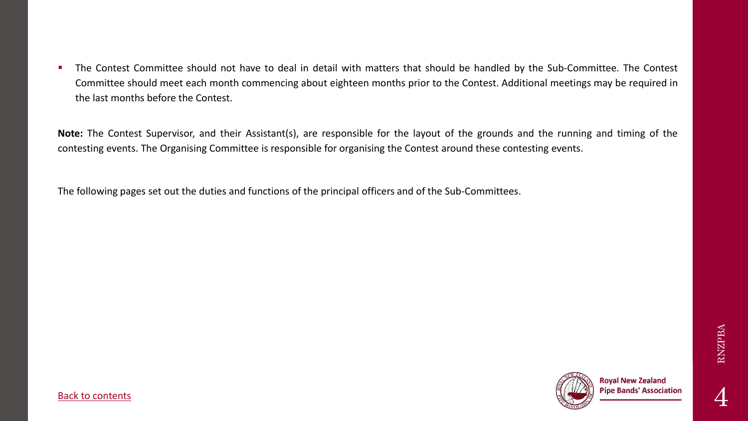**The Contest Committee should not have to deal in detail with matters that should be handled by the Sub-Committee. The Contest** Committee should meet each month commencing about eighteen months prior to the Contest. Additional meetings may be required in the last months before the Contest.

**Note:** The Contest Supervisor, and their Assistant(s), are responsible for the layout of the grounds and the running and timing of the contesting events. The Organising Committee is responsible for organising the Contest around these contesting events.

The following pages set out the duties and functions of the principal officers and of the Sub-Committees.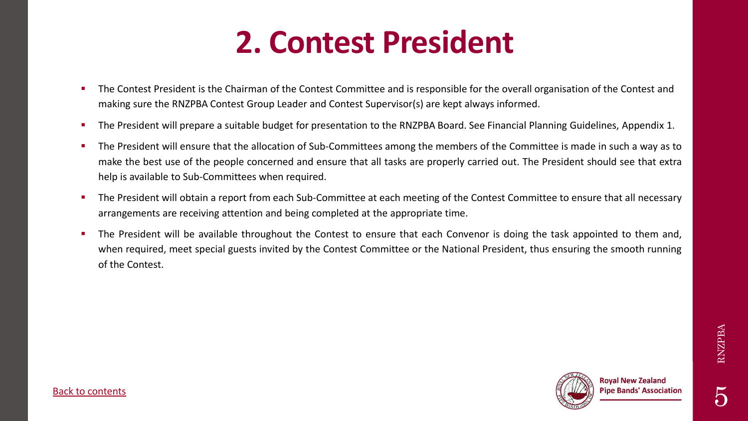## **2. Contest President**

- <span id="page-4-0"></span>The Contest President is the Chairman of the Contest Committee and is responsible for the overall organisation of the Contest and making sure the RNZPBA Contest Group Leader and Contest Supervisor(s) are kept always informed.
- The President will prepare a suitable budget for presentation to the RNZPBA Board. See Financial Planning Guidelines, Appendix 1.
- The President will ensure that the allocation of Sub-Committees among the members of the Committee is made in such a way as to make the best use of the people concerned and ensure that all tasks are properly carried out. The President should see that extra help is available to Sub-Committees when required.
- The President will obtain a report from each Sub-Committee at each meeting of the Contest Committee to ensure that all necessary arrangements are receiving attention and being completed at the appropriate time.
- The President will be available throughout the Contest to ensure that each Convenor is doing the task appointed to them and, when required, meet special guests invited by the Contest Committee or the National President, thus ensuring the smooth running of the Contest.

RNZPBA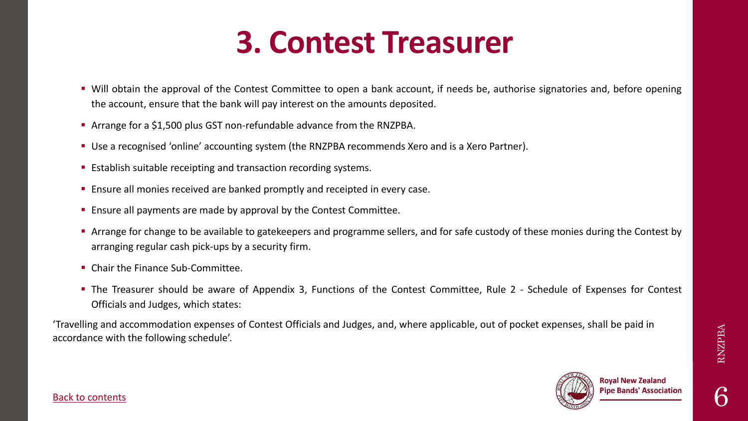### **3. Contest Treasurer**

- <span id="page-5-0"></span>■ Will obtain the approval of the Contest Committee to open a bank account, if needs be, authorise signatories and, before opening the account, ensure that the bank will pay interest on the amounts deposited.
- Arrange for a \$1,500 plus GST non-refundable advance from the RNZPBA.
- **E** Use a recognised 'online' accounting system (the RNZPBA recommends Xero and is a Xero Partner).
- **Establish suitable receipting and transaction recording systems.**
- Ensure all monies received are banked promptly and receipted in every case.
- **Ensure all payments are made by approval by the Contest Committee.**
- Arrange for change to be available to gatekeepers and programme sellers, and for safe custody of these monies during the Contest by arranging regular cash pick-ups by a security firm.
- Chair the Finance Sub-Committee.
- **The Treasurer should be aware of Appendix 3, Functions of the Contest Committee, Rule 2 Schedule of Expenses for Contest** Officials and Judges, which states:

'Travelling and accommodation expenses of Contest Officials and Judges, and, where applicable, out of pocket expenses, shall be paid in accordance with the following schedule'.

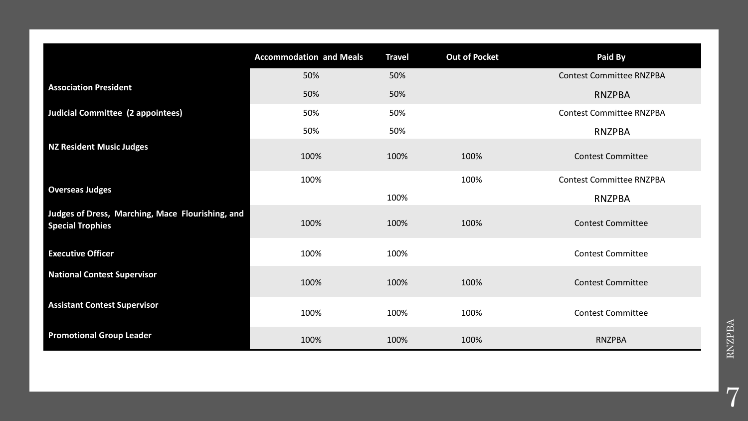|                                                                             | <b>Accommodation and Meals</b> | <b>Travel</b> | <b>Out of Pocket</b> | Paid By                         |
|-----------------------------------------------------------------------------|--------------------------------|---------------|----------------------|---------------------------------|
| <b>Association President</b>                                                | 50%                            | 50%           |                      | <b>Contest Committee RNZPBA</b> |
|                                                                             | 50%                            | 50%           |                      | <b>RNZPBA</b>                   |
| <b>Judicial Committee (2 appointees)</b>                                    | 50%                            | 50%           |                      | <b>Contest Committee RNZPBA</b> |
|                                                                             | 50%                            | 50%           |                      | <b>RNZPBA</b>                   |
| <b>NZ Resident Music Judges</b>                                             | 100%                           | 100%          | 100%                 | <b>Contest Committee</b>        |
| <b>Overseas Judges</b>                                                      | 100%                           |               | 100%                 | <b>Contest Committee RNZPBA</b> |
|                                                                             |                                | 100%          |                      | <b>RNZPBA</b>                   |
| Judges of Dress, Marching, Mace Flourishing, and<br><b>Special Trophies</b> | 100%                           | 100%          | 100%                 | <b>Contest Committee</b>        |
| <b>Executive Officer</b>                                                    | 100%                           | 100%          |                      | <b>Contest Committee</b>        |
| <b>National Contest Supervisor</b>                                          | 100%                           | 100%          | 100%                 | <b>Contest Committee</b>        |
| <b>Assistant Contest Supervisor</b>                                         | 100%                           | 100%          | 100%                 | <b>Contest Committee</b>        |
| <b>Promotional Group Leader</b>                                             | 100%                           | 100%          | 100%                 | <b>RNZPBA</b>                   |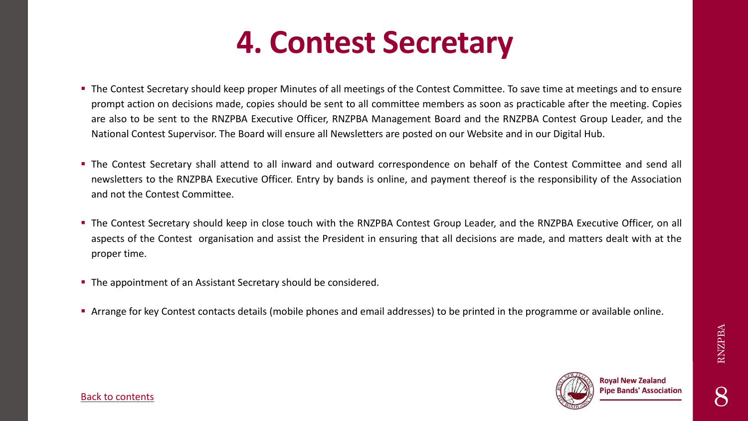### **4. Contest Secretary**

- <span id="page-7-0"></span>■ The Contest Secretary should keep proper Minutes of all meetings of the Contest Committee. To save time at meetings and to ensure prompt action on decisions made, copies should be sent to all committee members as soon as practicable after the meeting. Copies are also to be sent to the RNZPBA Executive Officer, RNZPBA Management Board and the RNZPBA Contest Group Leader, and the National Contest Supervisor. The Board will ensure all Newsletters are posted on our Website and in our Digital Hub.
- **The Contest Secretary shall attend to all inward and outward correspondence on behalf of the Contest Committee and send all** newsletters to the RNZPBA Executive Officer. Entry by bands is online, and payment thereof is the responsibility of the Association and not the Contest Committee.
- **The Contest Secretary should keep in close touch with the RNZPBA Contest Group Leader, and the RNZPBA Executive Officer, on all Contest Secretary should keep in close touch with the RNZPBA Contest Group Leader, and the RN** aspects of the Contest organisation and assist the President in ensuring that all decisions are made, and matters dealt with at the proper time.
- **.** The appointment of an Assistant Secretary should be considered.
- **EXTE:** Arrange for key Contest contacts details (mobile phones and email addresses) to be printed in the programme or available online.



8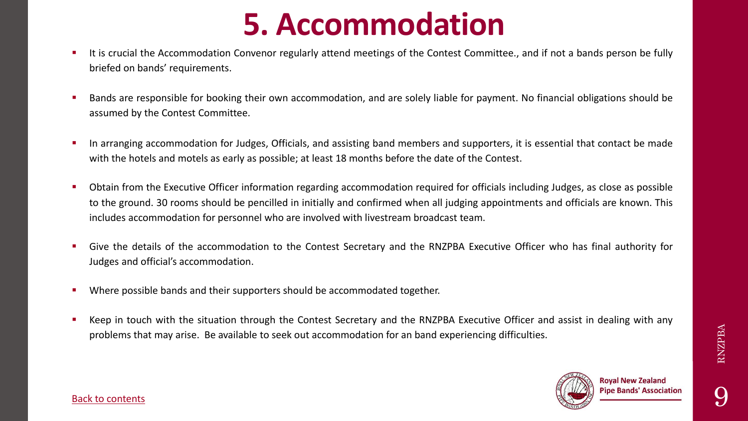## **5. Accommodation**

- <span id="page-8-0"></span>**E** It is crucial the Accommodation Convenor regularly attend meetings of the Contest Committee., and if not a bands person be fully briefed on bands' requirements.
- Bands are responsible for booking their own accommodation, and are solely liable for payment. No financial obligations should be assumed by the Contest Committee.
- **•** In arranging accommodation for Judges, Officials, and assisting band members and supporters, it is essential that contact be made with the hotels and motels as early as possible; at least 18 months before the date of the Contest.
- Obtain from the Executive Officer information regarding accommodation required for officials including Judges, as close as possible to the ground. 30 rooms should be pencilled in initially and confirmed when all judging appointments and officials are known. This includes accommodation for personnel who are involved with livestream broadcast team.
- Give the details of the accommodation to the Contest Secretary and the RNZPBA Executive Officer who has final authority for Judges and official's accommodation.
- Where possible bands and their supporters should be accommodated together.
- Keep in touch with the situation through the Contest Secretary and the RNZPBA Executive Officer and assist in dealing with any problems that may arise. Be available to seek out accommodation for an band experiencing difficulties.

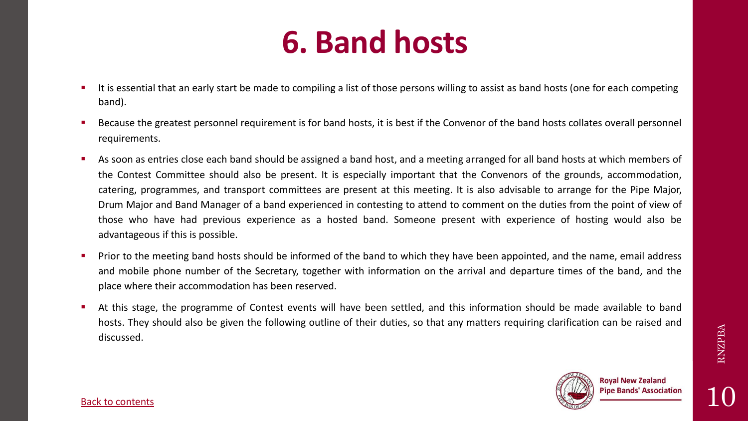## **6. Band hosts**

- <span id="page-9-0"></span>It is essential that an early start be made to compiling a list of those persons willing to assist as band hosts (one for each competing band).
- Because the greatest personnel requirement is for band hosts, it is best if the Convenor of the band hosts collates overall personnel requirements.
- As soon as entries close each band should be assigned a band host, and a meeting arranged for all band hosts at which members of the Contest Committee should also be present. It is especially important that the Convenors of the grounds, accommodation, catering, programmes, and transport committees are present at this meeting. It is also advisable to arrange for the Pipe Major, Drum Major and Band Manager of a band experienced in contesting to attend to comment on the duties from the point of view of those who have had previous experience as a hosted band. Someone present with experience of hosting would also be advantageous if this is possible.
- Prior to the meeting band hosts should be informed of the band to which they have been appointed, and the name, email address and mobile phone number of the Secretary, together with information on the arrival and departure times of the band, and the place where their accommodation has been reserved.
- At this stage, the programme of Contest events will have been settled, and this information should be made available to band hosts. They should also be given the following outline of their duties, so that any matters requiring clarification can be raised and discussed.

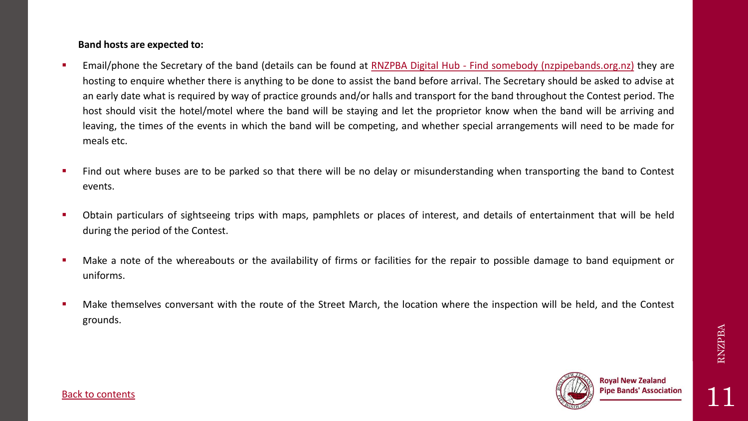#### **Band hosts are expected to:**

- **Email/phone the Secretary of the band (details can be found at RNZPBA Digital Hub Find somebody [\(nzpipebands.org.nz\)](https://digitalhub.nzpipebands.org.nz/directory) they are** hosting to enquire whether there is anything to be done to assist the band before arrival. The Secretary should be asked to advise at an early date what is required by way of practice grounds and/or halls and transport for the band throughout the Contest period. The host should visit the hotel/motel where the band will be staying and let the proprietor know when the band will be arriving and leaving, the times of the events in which the band will be competing, and whether special arrangements will need to be made for meals etc.
- Find out where buses are to be parked so that there will be no delay or misunderstanding when transporting the band to Contest events.
- Obtain particulars of sightseeing trips with maps, pamphlets or places of interest, and details of entertainment that will be held during the period of the Contest.
- Make a note of the whereabouts or the availability of firms or facilities for the repair to possible damage to band equipment or uniforms.
- Make themselves conversant with the route of the Street March, the location where the inspection will be held, and the Contest grounds.

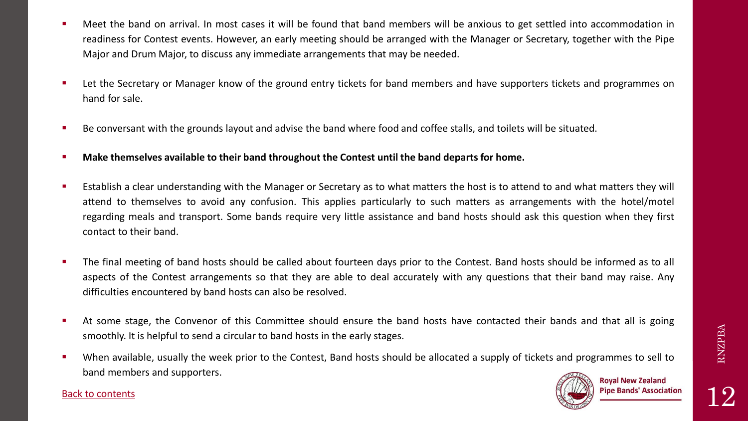- **■** Meet the band on arrival. In most cases it will be found that band members will be anxious to get settled into accommodation in readiness for Contest events. However, an early meeting should be arranged with the Manager or Secretary, together with the Pipe Major and Drum Major, to discuss any immediate arrangements that may be needed.
- Let the Secretary or Manager know of the ground entry tickets for band members and have supporters tickets and programmes on hand for sale.
- Be conversant with the grounds layout and advise the band where food and coffee stalls, and toilets will be situated.
- **Make themselves available to their band throughout the Contest until the band departs for home.**
- Establish a clear understanding with the Manager or Secretary as to what matters the host is to attend to and what matters they will attend to themselves to avoid any confusion. This applies particularly to such matters as arrangements with the hotel/motel regarding meals and transport. Some bands require very little assistance and band hosts should ask this question when they first contact to their band.
- **The final meeting of band hosts should be called about fourteen days prior to the Contest. Band hosts should be informed as to all intitled as to all intitled as to all intitled as to all intitled as to all intitled as to** aspects of the Contest arrangements so that they are able to deal accurately with any questions that their band may raise. Any difficulties encountered by band hosts can also be resolved.
- **EXTED At some stage, the Convenor of this Committee should ensure the band hosts have contacted their bands and that all is going** smoothly. It is helpful to send a circular to band hosts in the early stages.
- When available, usually the week prior to the Contest, Band hosts should be allocated a supply of tickets and programmes to sell to band members and supporters.



#### Back to [contents](#page-1-0)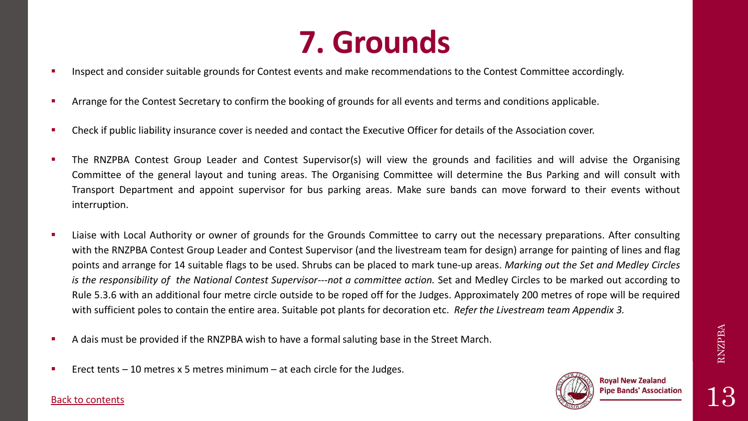### **7. Grounds**

- <span id="page-12-0"></span>Inspect and consider suitable grounds for Contest events and make recommendations to the Contest Committee accordingly.
- Arrange for the Contest Secretary to confirm the booking of grounds for all events and terms and conditions applicable.
- Check if public liability insurance cover is needed and contact the Executive Officer for details of the Association cover.
- The RNZPBA Contest Group Leader and Contest Supervisor(s) will view the grounds and facilities and will advise the Organising Committee of the general layout and tuning areas. The Organising Committee will determine the Bus Parking and will consult with Transport Department and appoint supervisor for bus parking areas. Make sure bands can move forward to their events without interruption.
- Liaise with Local Authority or owner of grounds for the Grounds Committee to carry out the necessary preparations. After consulting with the RNZPBA Contest Group Leader and Contest Supervisor (and the livestream team for design) arrange for painting of lines and flag points and arrange for 14 suitable flags to be used. Shrubs can be placed to mark tune-up areas. *Marking out the Set and Medley Circles is the responsibility of the National Contest Supervisor---not a committee action.* Set and Medley Circles to be marked out according to Rule 5.3.6 with an additional four metre circle outside to be roped off for the Judges. Approximately 200 metres of rope will be required with sufficient poles to contain the entire area. Suitable pot plants for decoration etc. *Refer the Livestream team Appendix 3.*
- A dais must be provided if the RNZPBA wish to have a formal saluting base in the Street March.
- Erect tents  $-10$  metres x 5 metres minimum  $-$  at each circle for the Judges.



#### Back to [contents](#page-1-0)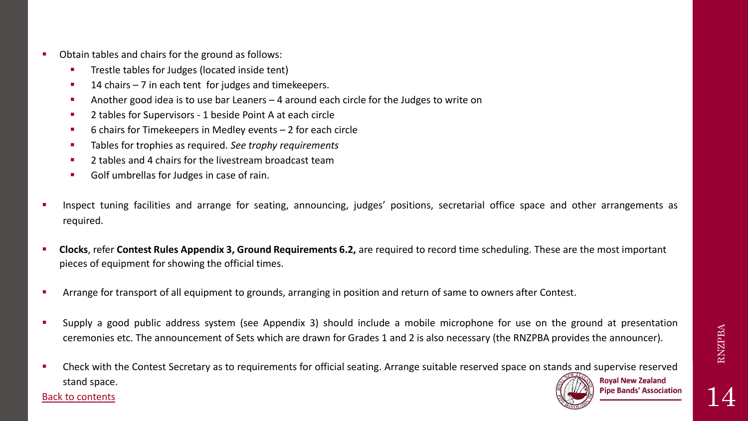- Obtain tables and chairs for the ground as follows:
	- **•** Trestle tables for Judges (located inside tent)
	- 14 chairs  $-7$  in each tent for judges and timekeepers.
	- Another good idea is to use bar Leaners 4 around each circle for the Judges to write on
	- 2 tables for Supervisors 1 beside Point A at each circle
	- 6 chairs for Timekeepers in Medley events 2 for each circle
	- Tables for trophies as required. *See trophy requirements*
	- 2 tables and 4 chairs for the livestream broadcast team
	- Golf umbrellas for Judges in case of rain.
- Inspect tuning facilities and arrange for seating, announcing, judges' positions, secretarial office space and other arrangements as required.
- **Clocks**, refer **Contest Rules Appendix 3, Ground Requirements 6.2,** are required to record time scheduling. These are the most important pieces of equipment for showing the official times.
- Arrange for transport of all equipment to grounds, arranging in position and return of same to owners after Contest.
- Supply a good public address system (see Appendix 3) should include a mobile microphone for use on the ground at presentation ceremonies etc. The announcement of Sets which are drawn for Grades 1 and 2 is also necessary (the RNZPBA provides the announcer).
- Check with the Contest Secretary as to requirements for official seating. Arrange suitable reserved space on stands and supervise reserved **Royal New Zealand** stand space.



14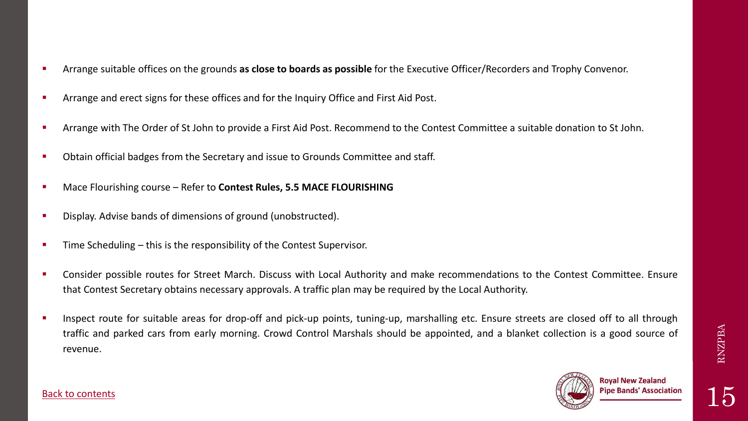- Arrange suitable offices on the grounds **as close to boards as possible** for the Executive Officer/Recorders and Trophy Convenor.
- Arrange and erect signs for these offices and for the Inquiry Office and First Aid Post.
- Arrange with The Order of St John to provide a First Aid Post. Recommend to the Contest Committee a suitable donation to St John.
- Obtain official badges from the Secretary and issue to Grounds Committee and staff.
- Mace Flourishing course Refer to **Contest Rules, 5.5 MACE FLOURISHING**
- Display. Advise bands of dimensions of ground (unobstructed).
- Time Scheduling this is the responsibility of the Contest Supervisor.
- **EXPEDENT Consider possible routes for Street March. Discuss with Local Authority and make recommendations to the Contest Committee. Ensure** that Contest Secretary obtains necessary approvals. A traffic plan may be required by the Local Authority.
- **EXT** Inspect route for suitable areas for drop-off and pick-up points, tuning-up, marshalling etc. Ensure streets are closed off to all through traffic and parked cars from early morning. Crowd Control Marshals should be appointed, and a blanket collection is a good source of revenue.



RNZPBA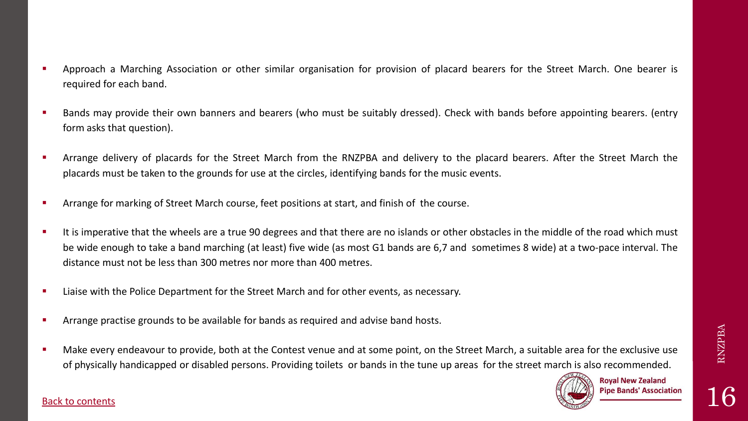16

- Approach a Marching Association or other similar organisation for provision of placard bearers for the Street March. One bearer is required for each band.
- Bands may provide their own banners and bearers (who must be suitably dressed). Check with bands before appointing bearers. (entry form asks that question).
- Arrange delivery of placards for the Street March from the RNZPBA and delivery to the placard bearers. After the Street March the placards must be taken to the grounds for use at the circles, identifying bands for the music events.
- Arrange for marking of Street March course, feet positions at start, and finish of the course.
- It is imperative that the wheels are a true 90 degrees and that there are no islands or other obstacles in the middle of the road which must be wide enough to take a band marching (at least) five wide (as most G1 bands are 6,7 and sometimes 8 wide) at a two-pace interval. The distance must not be less than 300 metres nor more than 400 metres.
- Liaise with the Police Department for the Street March and for other events, as necessary.
- Arrange practise grounds to be available for bands as required and advise band hosts.
- Make every endeavour to provide, both at the Contest venue and at some point, on the Street March, a suitable area for the exclusive use of physically handicapped or disabled persons. Providing toilets or bands in the tune up areas for the street march is also recommended.

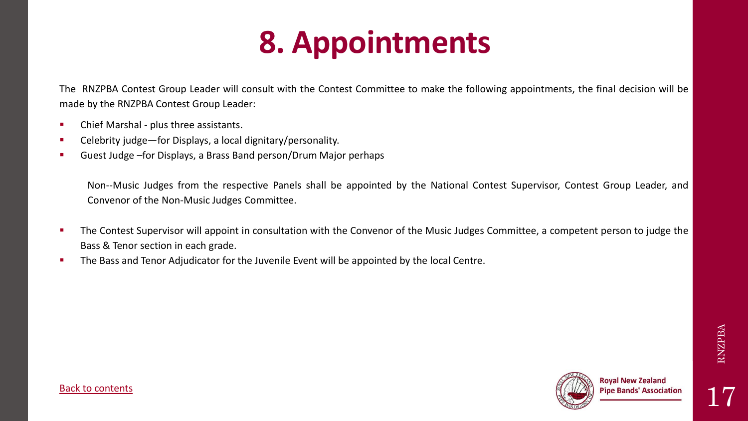# **8. Appointments**

<span id="page-16-0"></span>The RNZPBA Contest Group Leader will consult with the Contest Committee to make the following appointments, the final decision will be made by the RNZPBA Contest Group Leader:

- Chief Marshal plus three assistants.
- Celebrity judge—for Displays, a local dignitary/personality.
- Guest Judge –for Displays, a Brass Band person/Drum Major perhaps

Non--Music Judges from the respective Panels shall be appointed by the National Contest Supervisor, Contest Group Leader, and Convenor of the Non-Music Judges Committee.

- The Contest Supervisor will appoint in consultation with the Convenor of the Music Judges Committee, a competent person to judge the Bass & Tenor section in each grade.
- The Bass and Tenor Adjudicator for the Juvenile Event will be appointed by the local Centre.

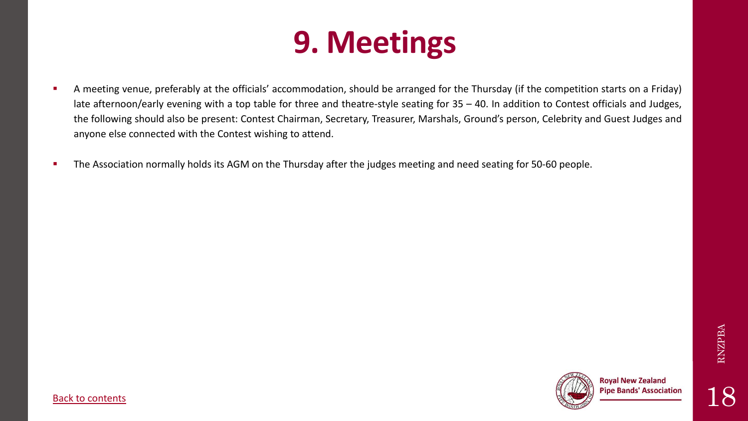## **9. Meetings**

- <span id="page-17-0"></span>**EXT** A meeting venue, preferably at the officials' accommodation, should be arranged for the Thursday (if the competition starts on a Friday) late afternoon/early evening with a top table for three and theatre-style seating for 35 – 40. In addition to Contest officials and Judges, the following should also be present: Contest Chairman, Secretary, Treasurer, Marshals, Ground's person, Celebrity and Guest Judges and anyone else connected with the Contest wishing to attend.
- **The Association normally holds its AGM on the Thursday after the judges meeting and need seating for 50-60 people.**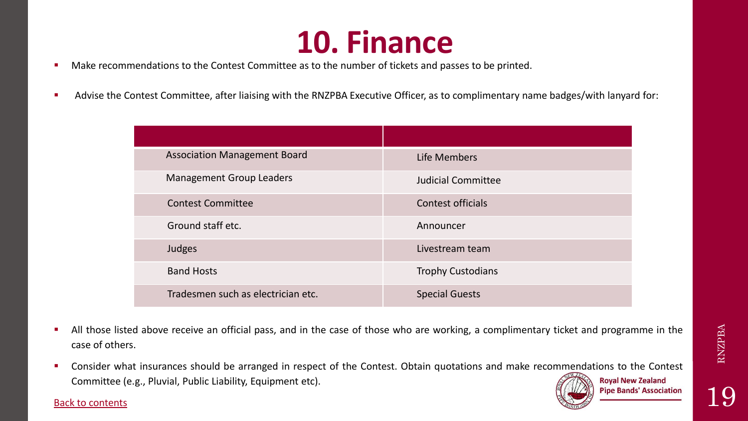### **10. Finance**

- <span id="page-18-0"></span>■ Make recommendations to the Contest Committee as to the number of tickets and passes to be printed.
- Advise the Contest Committee, after liaising with the RNZPBA Executive Officer, as to complimentary name badges/with lanyard for:

| <b>Association Management Board</b> | Life Members              |
|-------------------------------------|---------------------------|
| <b>Management Group Leaders</b>     | <b>Judicial Committee</b> |
| <b>Contest Committee</b>            | <b>Contest officials</b>  |
| Ground staff etc.                   | Announcer                 |
| Judges                              | Livestream team           |
| <b>Band Hosts</b>                   | <b>Trophy Custodians</b>  |
| Tradesmen such as electrician etc.  | <b>Special Guests</b>     |

- All those listed above receive an official pass, and in the case of those who are working, a complimentary ticket and programme in the case of others.
- Consider what insurances should be arranged in respect of the Contest. Obtain quotations and make recommendations to the Contest **Royal New Zealand** Committee (e.g., Pluvial, Public Liability, Equipment etc). **Pipe Bands' Association**

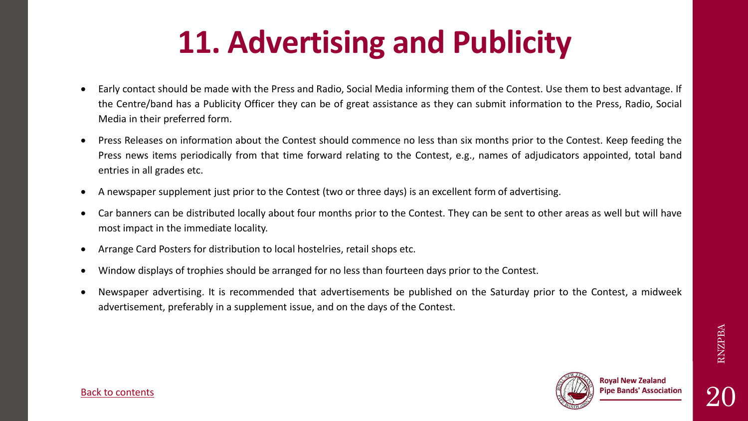# **11. Advertising and Publicity**

- <span id="page-19-0"></span>• Early contact should be made with the Press and Radio, Social Media informing them of the Contest. Use them to best advantage. If the Centre/band has a Publicity Officer they can be of great assistance as they can submit information to the Press, Radio, Social Media in their preferred form.
- Press Releases on information about the Contest should commence no less than six months prior to the Contest. Keep feeding the Press news items periodically from that time forward relating to the Contest, e.g., names of adjudicators appointed, total band entries in all grades etc.
- A newspaper supplement just prior to the Contest (two or three days) is an excellent form of advertising.
- Car banners can be distributed locally about four months prior to the Contest. They can be sent to other areas as well but will have most impact in the immediate locality.
- Arrange Card Posters for distribution to local hostelries, retail shops etc.
- Window displays of trophies should be arranged for no less than fourteen days prior to the Contest.
- Newspaper advertising. It is recommended that advertisements be published on the Saturday prior to the Contest, a midweek advertisement, preferably in a supplement issue, and on the days of the Contest.

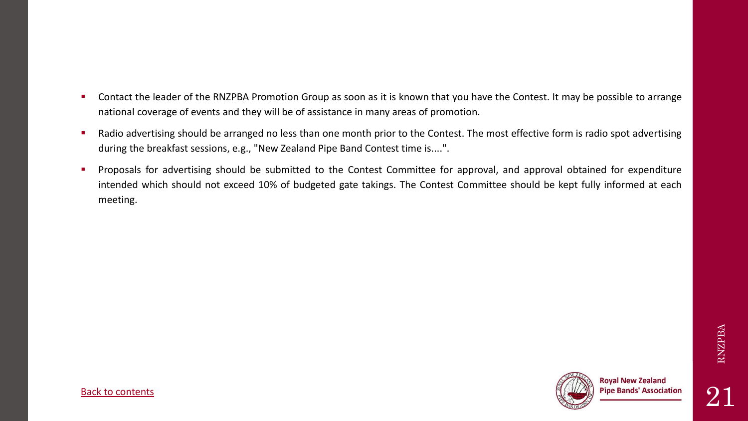RNZPBA

- Contact the leader of the RNZPBA Promotion Group as soon as it is known that you have the Contest. It may be possible to arrange national coverage of events and they will be of assistance in many areas of promotion.
- Radio advertising should be arranged no less than one month prior to the Contest. The most effective form is radio spot advertising during the breakfast sessions, e.g., "New Zealand Pipe Band Contest time is....".
- Proposals for advertising should be submitted to the Contest Committee for approval, and approval obtained for expenditure intended which should not exceed 10% of budgeted gate takings. The Contest Committee should be kept fully informed at each meeting.

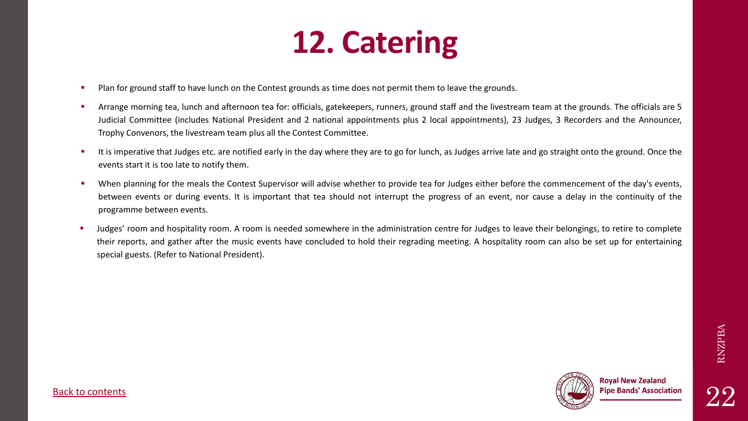### **12. Catering**

- <span id="page-21-0"></span>Plan for ground staff to have lunch on the Contest grounds as time does not permit them to leave the grounds.
- Arrange morning tea, lunch and afternoon tea for: officials, gatekeepers, runners, ground staff and the livestream team at the grounds. The officials are 5 Judicial Committee (includes National President and 2 national appointments plus 2 local appointments), 23 Judges, 3 Recorders and the Announcer, Trophy Convenors, the livestream team plus all the Contest Committee.
- It is imperative that Judges etc. are notified early in the day where they are to go for lunch, as Judges arrive late and go straight onto the ground. Once the events start it is too late to notify them.
- When planning for the meals the Contest Supervisor will advise whether to provide tea for Judges either before the commencement of the day's events, between events or during events. It is important that tea should not interrupt the progress of an event, nor cause a delay in the continuity of the programme between events.
- Judges' room and hospitality room. A room is needed somewhere in the administration centre for Judges to leave their belongings, to retire to complete their reports, and gather after the music events have concluded to hold their regrading meeting. A hospitality room can also be set up for entertaining special guests. (Refer to National President).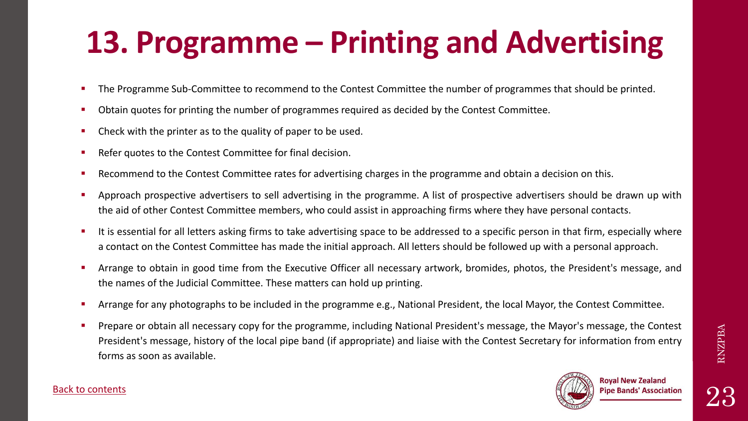# <span id="page-22-0"></span>**13. Programme – Printing and Advertising**

- The Programme Sub-Committee to recommend to the Contest Committee the number of programmes that should be printed.
- Obtain quotes for printing the number of programmes required as decided by the Contest Committee.
- Check with the printer as to the quality of paper to be used.
- Refer quotes to the Contest Committee for final decision.
- Recommend to the Contest Committee rates for advertising charges in the programme and obtain a decision on this.
- Approach prospective advertisers to sell advertising in the programme. A list of prospective advertisers should be drawn up with the aid of other Contest Committee members, who could assist in approaching firms where they have personal contacts.
- It is essential for all letters asking firms to take advertising space to be addressed to a specific person in that firm, especially where a contact on the Contest Committee has made the initial approach. All letters should be followed up with a personal approach.
- Arrange to obtain in good time from the Executive Officer all necessary artwork, bromides, photos, the President's message, and the names of the Judicial Committee. These matters can hold up printing.
- Arrange for any photographs to be included in the programme e.g., National President, the local Mayor, the Contest Committee.
- Prepare or obtain all necessary copy for the programme, including National President's message, the Mayor's message, the Contest President's message, history of the local pipe band (if appropriate) and liaise with the Contest Secretary for information from entry forms as soon as available.



23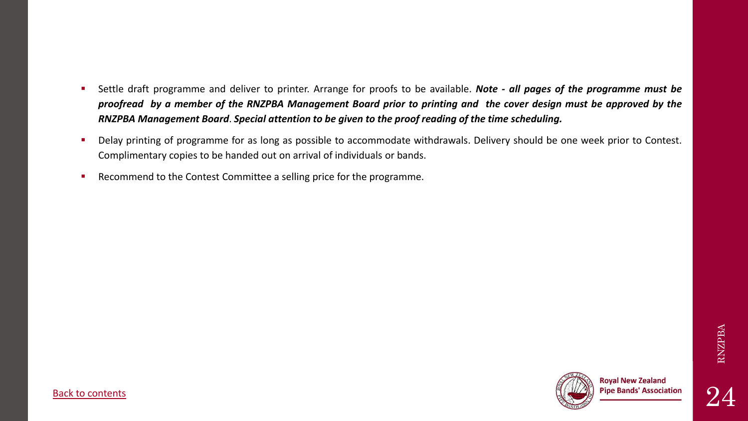- Settle draft programme and deliver to printer. Arrange for proofs to be available. *Note - all pages of the programme must be* proofread by a member of the RNZPBA Management Board prior to printing and the cover design must be approved by the *RNZPBA Management Board*. *Special attention to be given to the proof reading of the time scheduling.*
- Delay printing of programme for as long as possible to accommodate withdrawals. Delivery should be one week prior to Contest. Complimentary copies to be handed out on arrival of individuals or bands.
- Recommend to the Contest Committee a selling price for the programme.

RNZPBA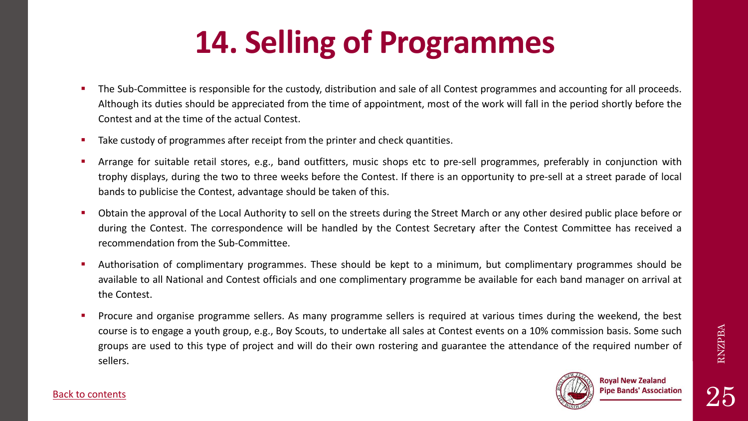# **14. Selling of Programmes**

- <span id="page-24-0"></span>The Sub-Committee is responsible for the custody, distribution and sale of all Contest programmes and accounting for all proceeds. Although its duties should be appreciated from the time of appointment, most of the work will fall in the period shortly before the Contest and at the time of the actual Contest.
- Take custody of programmes after receipt from the printer and check quantities.
- Arrange for suitable retail stores, e.g., band outfitters, music shops etc to pre-sell programmes, preferably in conjunction with trophy displays, during the two to three weeks before the Contest. If there is an opportunity to pre-sell at a street parade of local bands to publicise the Contest, advantage should be taken of this.
- Obtain the approval of the Local Authority to sell on the streets during the Street March or any other desired public place before or during the Contest. The correspondence will be handled by the Contest Secretary after the Contest Committee has received a recommendation from the Sub-Committee.
- Authorisation of complimentary programmes. These should be kept to a minimum, but complimentary programmes should be available to all National and Contest officials and one complimentary programme be available for each band manager on arrival at the Contest.
- Procure and organise programme sellers. As many programme sellers is required at various times during the weekend, the best course is to engage a youth group, e.g., Boy Scouts, to undertake all sales at Contest events on a 10% commission basis. Some such groups are used to this type of project and will do their own rostering and guarantee the attendance of the required number of sellers.



#### [Back to contents](#page-1-0)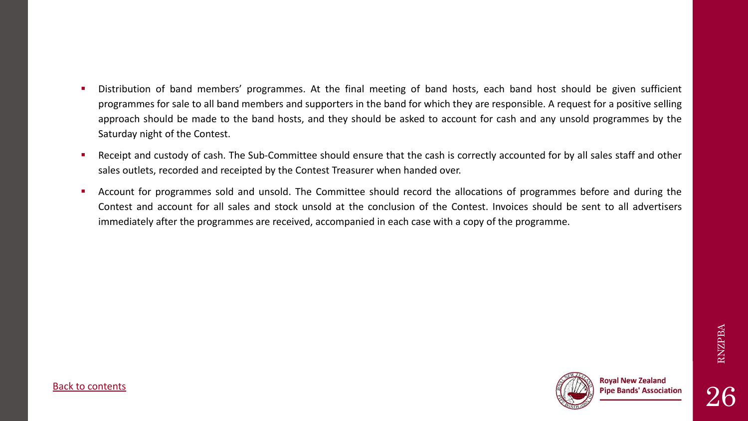- Distribution of band members' programmes. At the final meeting of band hosts, each band host should be given sufficient programmes for sale to all band members and supporters in the band for which they are responsible. A request for a positive selling approach should be made to the band hosts, and they should be asked to account for cash and any unsold programmes by the Saturday night of the Contest.
- Receipt and custody of cash. The Sub-Committee should ensure that the cash is correctly accounted for by all sales staff and other sales outlets, recorded and receipted by the Contest Treasurer when handed over.
- Account for programmes sold and unsold. The Committee should record the allocations of programmes before and during the Contest and account for all sales and stock unsold at the conclusion of the Contest. Invoices should be sent to all advertisers immediately after the programmes are received, accompanied in each case with a copy of the programme.

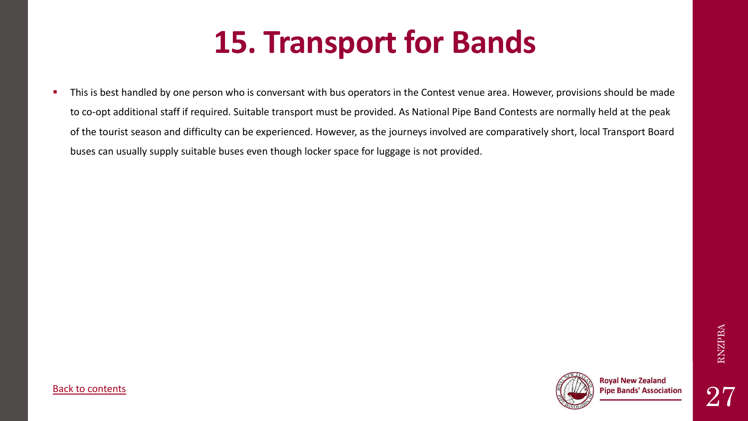# **15. Transport for Bands**

<span id="page-26-0"></span>**This is best handled by one person who is conversant with bus operators in the Contest venue area. However, provisions should be made** to co-opt additional staff if required. Suitable transport must be provided. As National Pipe Band Contests are normally held at the peak of the tourist season and difficulty can be experienced. However, as the journeys involved are comparatively short, local Transport Board buses can usually supply suitable buses even though locker space for luggage is not provided.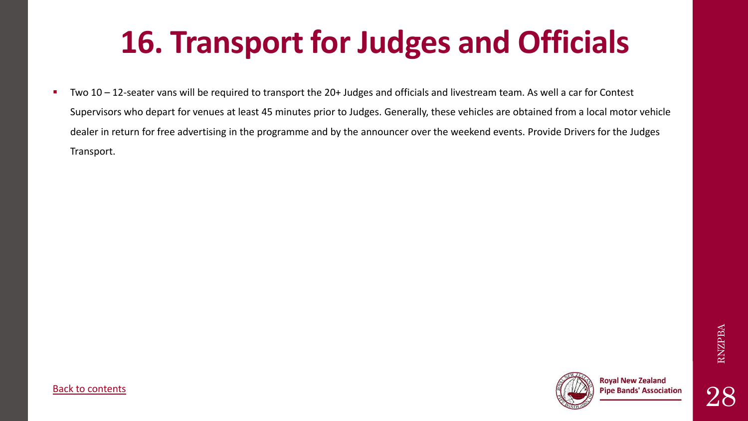# **16. Transport for Judges and Officials**

<span id="page-27-0"></span>■ Two 10 – 12-seater vans will be required to transport the 20+ Judges and officials and livestream team. As well a car for Contest Supervisors who depart for venues at least 45 minutes prior to Judges. Generally, these vehicles are obtained from a local motor vehicle dealer in return for free advertising in the programme and by the announcer over the weekend events. Provide Drivers for the Judges Transport.

RNZPBA

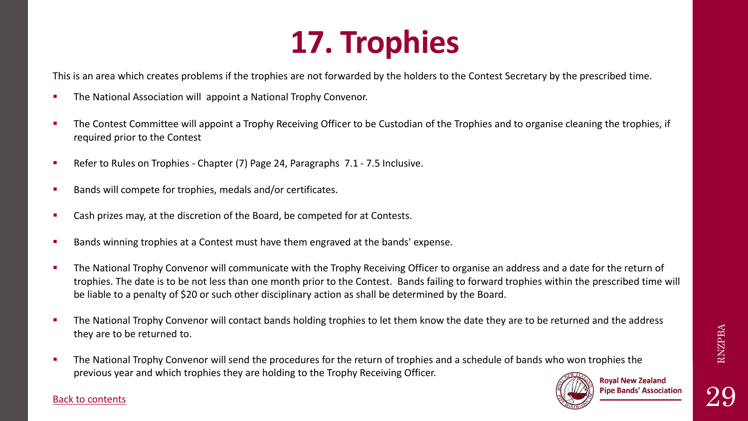# **17. Trophies**

<span id="page-28-0"></span>This is an area which creates problems if the trophies are not forwarded by the holders to the Contest Secretary by the prescribed time.

- **EXECT** The National Association will appoint a National Trophy Convenor.
- **EXPLED The Contest Committee will appoint a Trophy Receiving Officer to be Custodian of the Trophies and to organise cleaning the trophies, if** required prior to the Contest
- Refer to Rules on Trophies Chapter (7) Page 24, Paragraphs 7.1 7.5 Inclusive.
- Bands will compete for trophies, medals and/or certificates.
- Cash prizes may, at the discretion of the Board, be competed for at Contests.
- Bands winning trophies at a Contest must have them engraved at the bands' expense.
- **EXTE:** The National Trophy Convenor will communicate with the Trophy Receiving Officer to organise an address and a date for the return of trophies. The date is to be not less than one month prior to the Contest. Bands failing to forward trophies within the prescribed time will be liable to a penalty of \$20 or such other disciplinary action as shall be determined by the Board.
- **The National Trophy Convenor will contact bands holding trophies to let them know the date they are to be returned and the address** they are to be returned to.
- **The National Trophy Convenor will send the procedures for the return of trophies and a schedule of bands who won trophies the** previous year and which trophies they are holding to the Trophy Receiving Officer.



**Royal New Zealand Pipe Bands' Association**  RNZPBA

29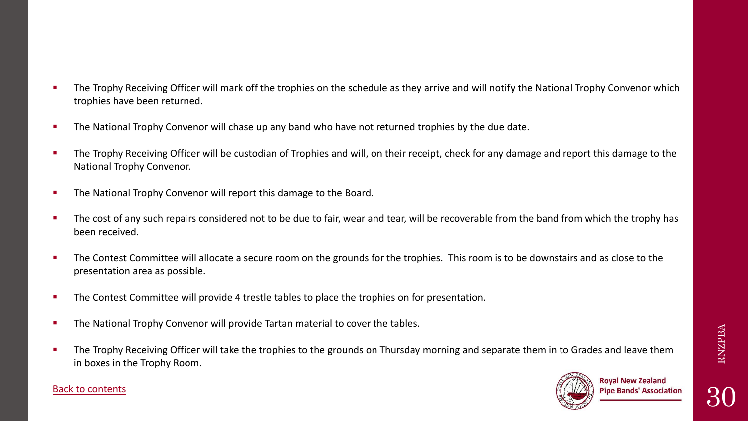30

- **•** The Trophy Receiving Officer will mark off the trophies on the schedule as they arrive and will notify the National Trophy Convenor which trophies have been returned.
- **The National Trophy Convenor will chase up any band who have not returned trophies by the due date.**
- **The Trophy Receiving Officer will be custodian of Trophies and will, on their receipt, check for any damage and report this damage to the 1998.** National Trophy Convenor.
- **.** The National Trophy Convenor will report this damage to the Board.
- **The cost of any such repairs considered not to be due to fair, wear and tear, will be recoverable from the band from which the trophy has** been received.
- **The Contest Committee will allocate a secure room on the grounds for the trophies. This room is to be downstairs and as close to the** presentation area as possible.
- **EXPLED The Contest Committee will provide 4 trestle tables to place the trophies on for presentation.**
- **EXECT** The National Trophy Convenor will provide Tartan material to cover the tables.
- **•** The Trophy Receiving Officer will take the trophies to the grounds on Thursday morning and separate them in to Grades and leave them in boxes in the Trophy Room.

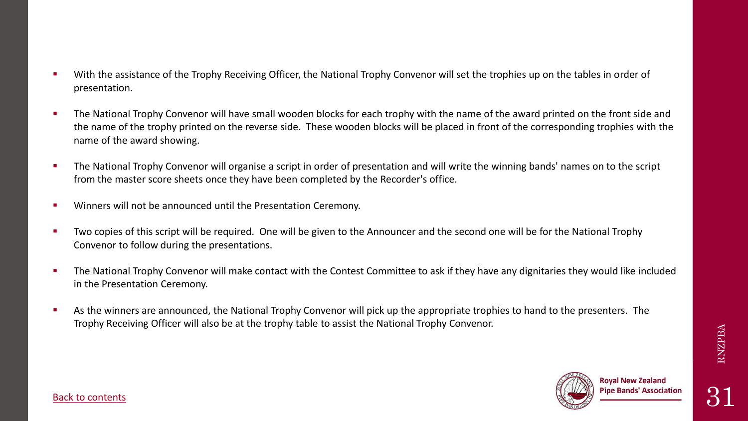- With the assistance of the Trophy Receiving Officer, the National Trophy Convenor will set the trophies up on the tables in order of presentation.
- **The National Trophy Convenor will have small wooden blocks for each trophy with the name of the award printed on the front side and** the name of the trophy printed on the reverse side. These wooden blocks will be placed in front of the corresponding trophies with the name of the award showing.
- **The National Trophy Convenor will organise a script in order of presentation and will write the winning bands' names on to the script** from the master score sheets once they have been completed by the Recorder's office.
- **EXECT** Winners will not be announced until the Presentation Ceremony.
- Two copies of this script will be required. One will be given to the Announcer and the second one will be for the National Trophy Convenor to follow during the presentations.
- **The National Trophy Convenor will make contact with the Contest Committee to ask if they have any dignitaries they would like included** in the Presentation Ceremony.
- **EXED As the winners are announced, the National Trophy Convenor will pick up the appropriate trophies to hand to the presenters. The** Trophy Receiving Officer will also be at the trophy table to assist the National Trophy Convenor.

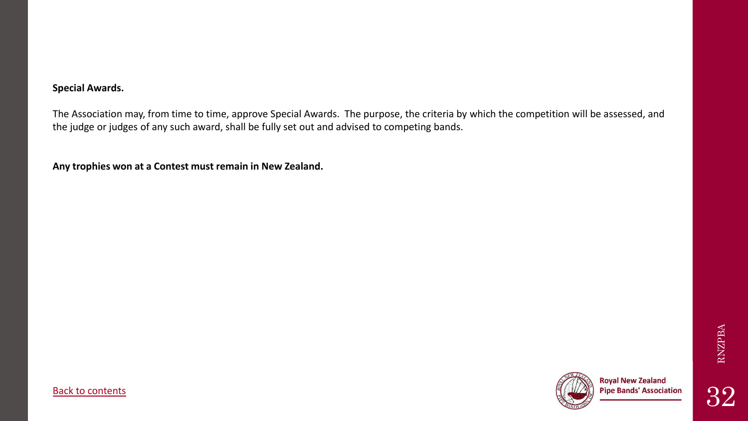The Association may, from time to time, approve Special Awards. The purpose, the criteria by which the competition will be assessed, and the judge or judges of any such award, shall be fully set out and advised to competing bands.

**Any trophies won at a Contest must remain in New Zealand.**

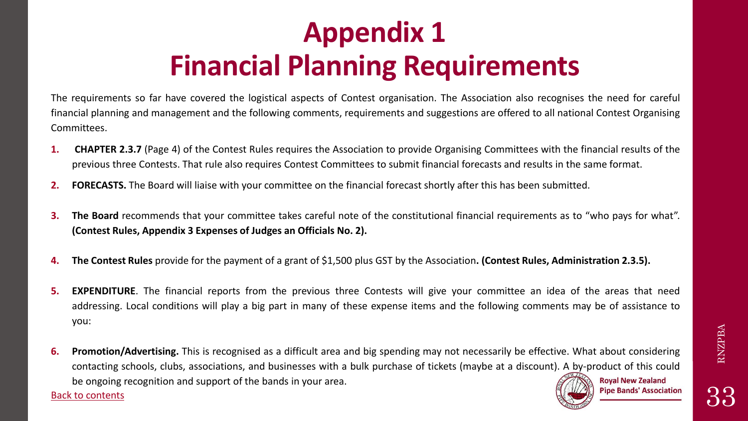### **Appendix 1 Financial Planning Requirements**

<span id="page-32-0"></span>The requirements so far have covered the logistical aspects of Contest organisation. The Association also recognises the need for careful financial planning and management and the following comments, requirements and suggestions are offered to all national Contest Organising Committees.

- **1. CHAPTER 2.3.7** (Page 4) of the Contest Rules requires the Association to provide Organising Committees with the financial results of the previous three Contests. That rule also requires Contest Committees to submit financial forecasts and results in the same format.
- **2. FORECASTS.** The Board will liaise with your committee on the financial forecast shortly after this has been submitted.
- **3. The Board** recommends that your committee takes careful note of the constitutional financial requirements as to "who pays for what". **(Contest Rules, Appendix 3 Expenses of Judges an Officials No. 2).**
- **4. The Contest Rules** provide for the payment of a grant of \$1,500 plus GST by the Association**. (Contest Rules, Administration 2.3.5).**
- **5. EXPENDITURE**. The financial reports from the previous three Contests will give your committee an idea of the areas that need addressing. Local conditions will play a big part in many of these expense items and the following comments may be of assistance to you:
- **6. Promotion/Advertising.** This is recognised as a difficult area and big spending may not necessarily be effective. What about considering contacting schools, clubs, associations, and businesses with a bulk purchase of tickets (maybe at a discount). A by-product of this could **Royal New Zealand** be ongoing recognition and support of the bands in your area.

[Back to contents](#page-1-0)

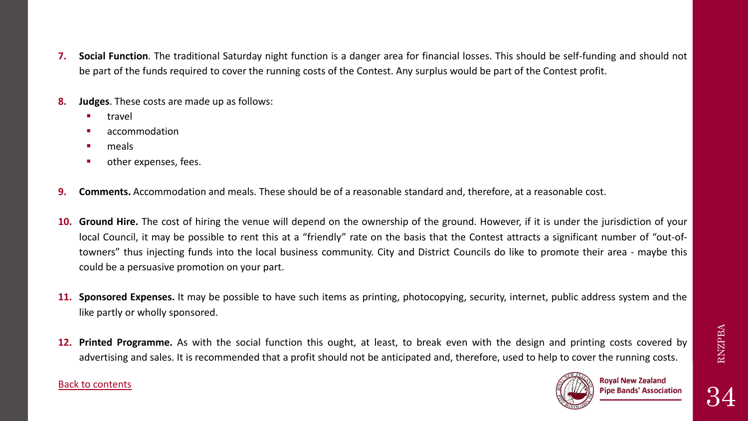- **7. Social Function**. The traditional Saturday night function is a danger area for financial losses. This should be self-funding and should not be part of the funds required to cover the running costs of the Contest. Any surplus would be part of the Contest profit.
- **8. Judges**. These costs are made up as follows:
	- travel
	- accommodation
	- meals
	- other expenses, fees.
- **9. Comments.** Accommodation and meals. These should be of a reasonable standard and, therefore, at a reasonable cost.
- **10. Ground Hire.** The cost of hiring the venue will depend on the ownership of the ground. However, if it is under the jurisdiction of your local Council, it may be possible to rent this at a "friendly" rate on the basis that the Contest attracts a significant number of "out-oftowners" thus injecting funds into the local business community. City and District Councils do like to promote their area - maybe this could be a persuasive promotion on your part.
- **11. Sponsored Expenses.** It may be possible to have such items as printing, photocopying, security, internet, public address system and the like partly or wholly sponsored.
- **12. Printed Programme.** As with the social function this ought, at least, to break even with the design and printing costs covered by advertising and sales. It is recommended that a profit should not be anticipated and, therefore, used to help to cover the running costs.

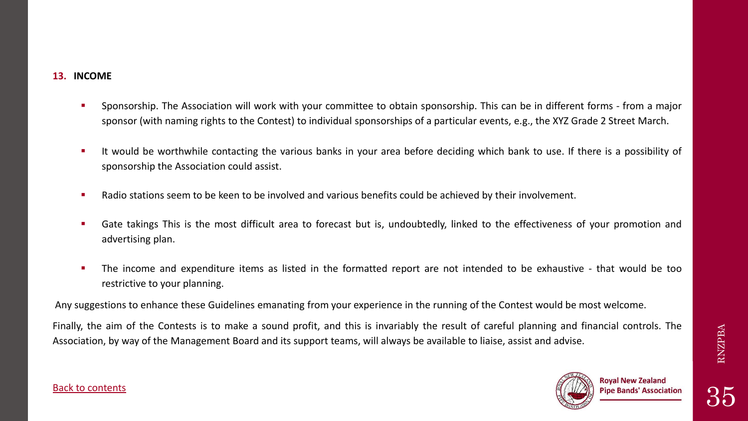- Sponsorship. The Association will work with your committee to obtain sponsorship. This can be in different forms from a major sponsor (with naming rights to the Contest) to individual sponsorships of a particular events, e.g., the XYZ Grade 2 Street March.
- It would be worthwhile contacting the various banks in your area before deciding which bank to use. If there is a possibility of sponsorship the Association could assist.
- Radio stations seem to be keen to be involved and various benefits could be achieved by their involvement.
- Gate takings This is the most difficult area to forecast but is, undoubtedly, linked to the effectiveness of your promotion and advertising plan.
- The income and expenditure items as listed in the formatted report are not intended to be exhaustive that would be too restrictive to your planning.

Any suggestions to enhance these Guidelines emanating from your experience in the running of the Contest would be most welcome.

Finally, the aim of the Contests is to make a sound profit, and this is invariably the result of careful planning and financial controls. The Association, by way of the Management Board and its support teams, will always be available to liaise, assist and advise.



#### [Back to contents](#page-1-0)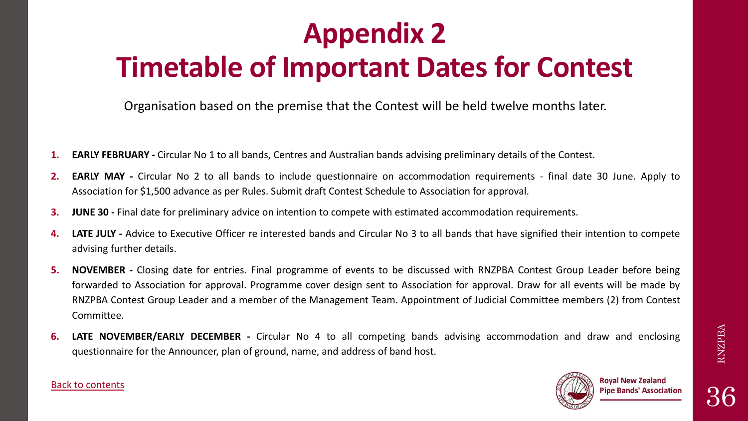### <span id="page-35-0"></span>**Appendix 2 Timetable of Important Dates for Contest**

Organisation based on the premise that the Contest will be held twelve months later.

- **1. EARLY FEBRUARY -** Circular No 1 to all bands, Centres and Australian bands advising preliminary details of the Contest.
- **2. EARLY MAY -** Circular No 2 to all bands to include questionnaire on accommodation requirements final date 30 June. Apply to Association for \$1,500 advance as per Rules. Submit draft Contest Schedule to Association for approval.
- **3. JUNE 30 -** Final date for preliminary advice on intention to compete with estimated accommodation requirements.
- **4. LATE JULY -** Advice to Executive Officer re interested bands and Circular No 3 to all bands that have signified their intention to compete advising further details.
- **5. NOVEMBER -** Closing date for entries. Final programme of events to be discussed with RNZPBA Contest Group Leader before being forwarded to Association for approval. Programme cover design sent to Association for approval. Draw for all events will be made by RNZPBA Contest Group Leader and a member of the Management Team. Appointment of Judicial Committee members (2) from Contest Committee.
- **6. LATE NOVEMBER/EARLY DECEMBER -** Circular No 4 to all competing bands advising accommodation and draw and enclosing questionnaire for the Announcer, plan of ground, name, and address of band host.



#### [Back to contents](#page-1-0)

RNZPBA 36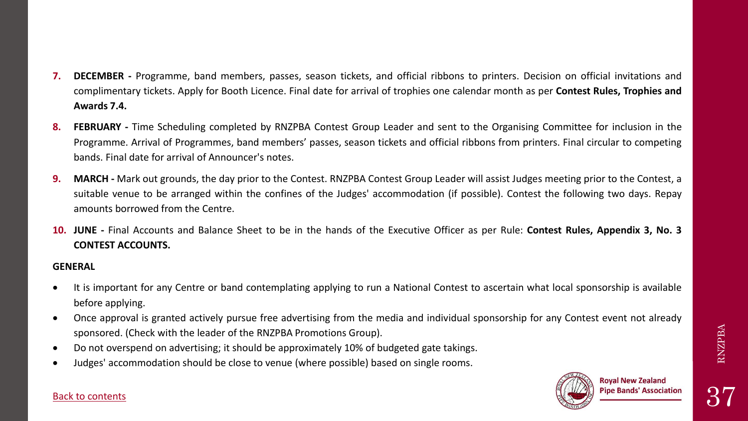- **7. DECEMBER -** Programme, band members, passes, season tickets, and official ribbons to printers. Decision on official invitations and complimentary tickets. Apply for Booth Licence. Final date for arrival of trophies one calendar month as per **Contest Rules, Trophies and Awards 7.4.**
- **8. FEBRUARY -** Time Scheduling completed by RNZPBA Contest Group Leader and sent to the Organising Committee for inclusion in the Programme. Arrival of Programmes, band members' passes, season tickets and official ribbons from printers. Final circular to competing bands. Final date for arrival of Announcer's notes.
- **9.** MARCH Mark out grounds, the day prior to the Contest. RNZPBA Contest Group Leader will assist Judges meeting prior to the Contest, a suitable venue to be arranged within the confines of the Judges' accommodation (if possible). Contest the following two days. Repay amounts borrowed from the Centre.
- **10. JUNE -** Final Accounts and Balance Sheet to be in the hands of the Executive Officer as per Rule: **Contest Rules, Appendix 3, No. 3 CONTEST ACCOUNTS.**

#### **GENERAL**

- It is important for any Centre or band contemplating applying to run a National Contest to ascertain what local sponsorship is available before applying.
- Once approval is granted actively pursue free advertising from the media and individual sponsorship for any Contest event not already sponsored. (Check with the leader of the RNZPBA Promotions Group).
- Do not overspend on advertising; it should be approximately 10% of budgeted gate takings.
- Judges' accommodation should be close to venue (where possible) based on single rooms.



### [Back to contents](#page-1-0)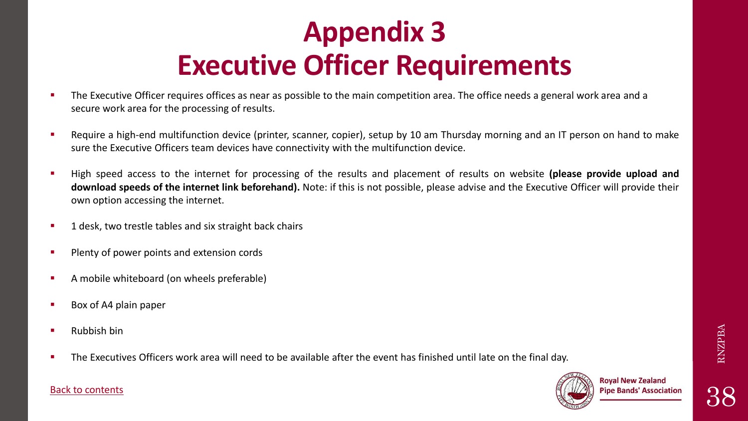## **Appendix 3 Executive Officer Requirements**

- <span id="page-37-0"></span>The Executive Officer requires offices as near as possible to the main competition area. The office needs a general work area and a secure work area for the processing of results.
- Require a high-end multifunction device (printer, scanner, copier), setup by 10 am Thursday morning and an IT person on hand to make sure the Executive Officers team devices have connectivity with the multifunction device.
- High speed access to the internet for processing of the results and placement of results on website **(please provide upload and download speeds of the internet link beforehand).** Note: if this is not possible, please advise and the Executive Officer will provide their own option accessing the internet.
- 1 desk, two trestle tables and six straight back chairs
- **Plenty of power points and extension cords**
- A mobile whiteboard (on wheels preferable)
- Box of A4 plain paper
- Rubbish bin
- The Executives Officers work area will need to be available after the event has finished until late on the final day.



38